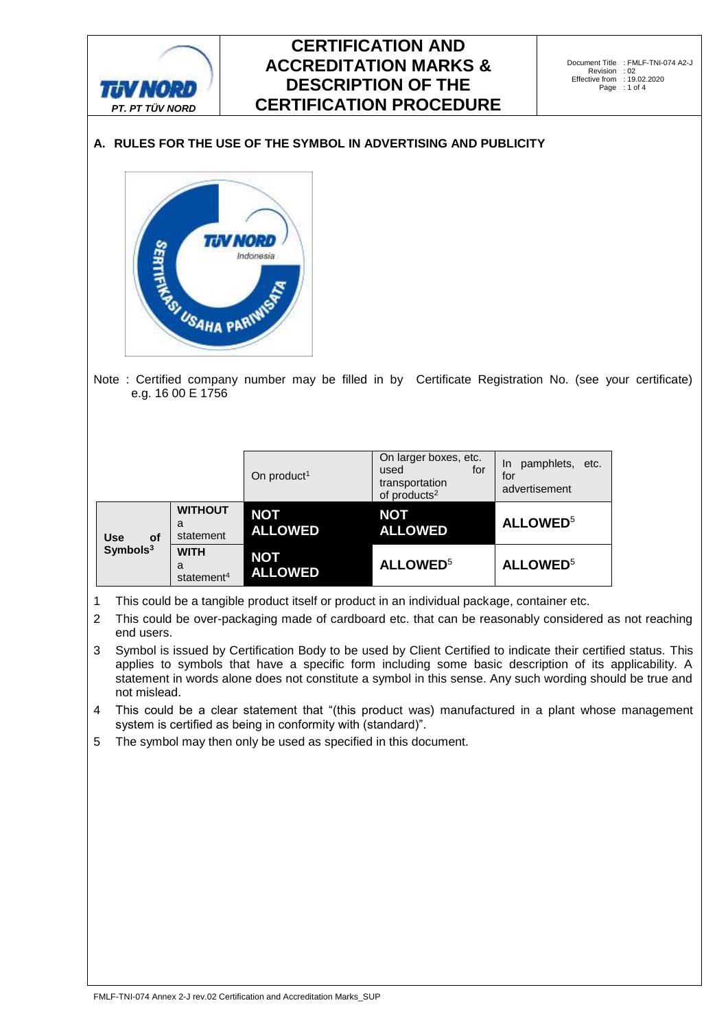

# **A. RULES FOR THE USE OF THE SYMBOL IN ADVERTISING AND PUBLICITY**



e.g. 16 00 E 1756

|                                                 |                                            | On product <sup>1</sup>      | On larger boxes, etc.<br>used<br>for<br>transportation<br>of products <sup>2</sup> | pamphlets, etc.<br>In.<br>for<br>advertisement |
|-------------------------------------------------|--------------------------------------------|------------------------------|------------------------------------------------------------------------------------|------------------------------------------------|
| <b>Use</b><br><b>of</b><br>Symbols <sup>3</sup> | <b>WITHOUT</b><br>a<br>statement           | <b>NOT</b><br><b>ALLOWED</b> | <b>NOT</b><br><b>ALLOWED</b>                                                       | <b>ALLOWED</b> <sup>5</sup>                    |
|                                                 | <b>WITH</b><br>a<br>statement <sup>4</sup> | <b>NOT</b><br><b>ALLOWED</b> | <b>ALLOWED</b> <sup>5</sup>                                                        | <b>ALLOWED</b> <sup>5</sup>                    |

1 This could be a tangible product itself or product in an individual package, container etc.

2 This could be over-packaging made of cardboard etc. that can be reasonably considered as not reaching end users.

3 Symbol is issued by Certification Body to be used by Client Certified to indicate their certified status. This applies to symbols that have a specific form including some basic description of its applicability. A statement in words alone does not constitute a symbol in this sense. Any such wording should be true and not mislead.

4 This could be a clear statement that "(this product was) manufactured in a plant whose management system is certified as being in conformity with (standard)".

5 The symbol may then only be used as specified in this document.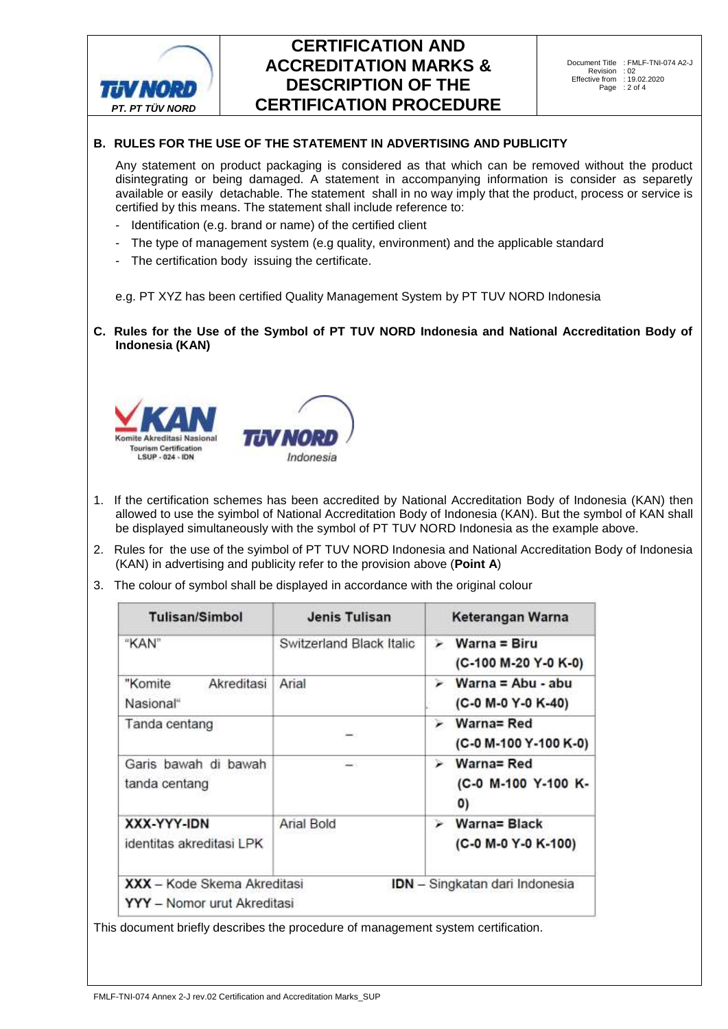

## **B. RULES FOR THE USE OF THE STATEMENT IN ADVERTISING AND PUBLICITY**

Any statement on product packaging is considered as that which can be removed without the product disintegrating or being damaged. A statement in accompanying information is consider as separetly available or easily detachable. The statement shall in no way imply that the product, process or service is certified by this means. The statement shall include reference to:

- Identification (e.g. brand or name) of the certified client
- The type of management system (e.g quality, environment) and the applicable standard
- The certification body issuing the certificate.

e.g. PT XYZ has been certified Quality Management System by PT TUV NORD Indonesia

**C. Rules for the Use of the Symbol of PT TUV NORD Indonesia and National Accreditation Body of Indonesia (KAN)**



- 1. If the certification schemes has been accredited by National Accreditation Body of Indonesia (KAN) then allowed to use the syimbol of National Accreditation Body of Indonesia (KAN). But the symbol of KAN shall be displayed simultaneously with the symbol of PT TUV NORD Indonesia as the example above.
- 2. Rules for the use of the syimbol of PT TUV NORD Indonesia and National Accreditation Body of Indonesia (KAN) in advertising and publicity refer to the provision above (**Point A**)
- 3. The colour of symbol shall be displayed in accordance with the original colour

| <b>Tulisan/Simbol</b>                                      | Jenis Tulisan            | Keterangan Warna                                       |  |
|------------------------------------------------------------|--------------------------|--------------------------------------------------------|--|
| "KAN"                                                      | Switzerland Black Italic | $Warna = Biru$<br>⋗<br>(C-100 M-20 Y-0 K-0)            |  |
| Akreditasi<br>"Komite<br>Nasional"                         | Arial                    | Warna = Abu - abu<br>⋗<br>(C-0 M-0 Y-0 K-40)           |  |
| Tanda centang                                              |                          | Warna= Red<br>➤<br>(C-0 M-100 Y-100 K-0)               |  |
| Garis bawah di bawah<br>tanda centang                      |                          | Warna= Red<br>⋗<br>(C-0 M-100 Y-100 K-<br>$\mathbf{0}$ |  |
| XXX-YYY-IDN<br>identitas akreditasi LPK                    | Arial Bold               | Warna= Black<br>➤<br>(C-0 M-0 Y-0 K-100)               |  |
| XXX - Kode Skema Akreditasi<br>YYY - Nomor urut Akreditasi |                          | IDN - Singkatan dari Indonesia                         |  |

This document briefly describes the procedure of management system certification.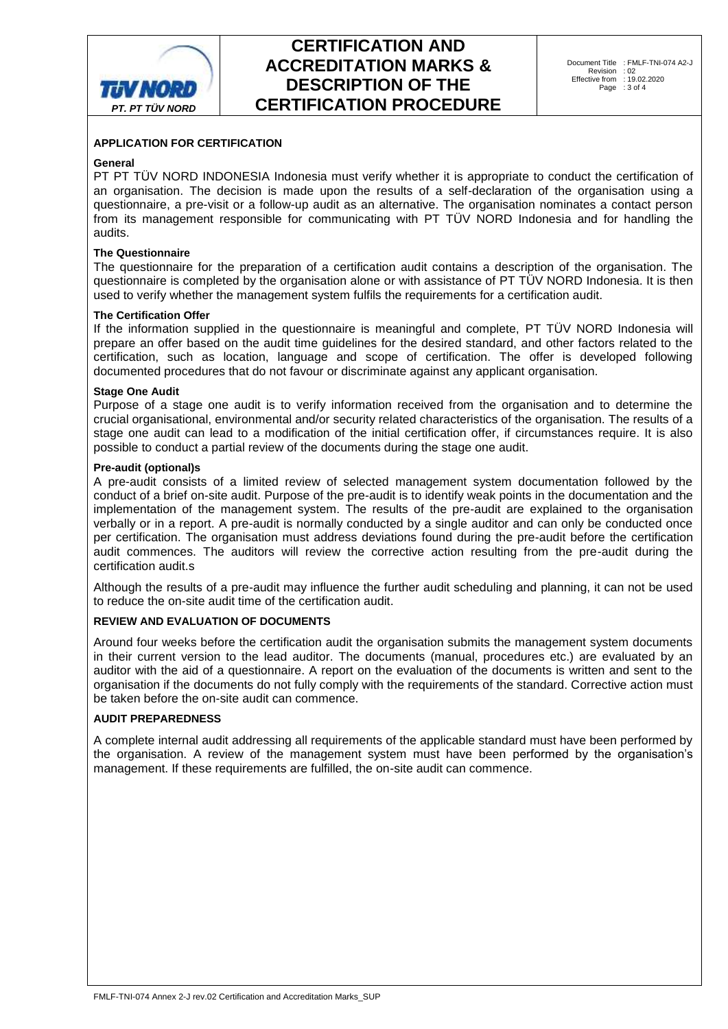

## **APPLICATION FOR CERTIFICATION**

#### **General**

PT PT TÜV NORD INDONESIA Indonesia must verify whether it is appropriate to conduct the certification of an organisation. The decision is made upon the results of a self-declaration of the organisation using a questionnaire, a pre-visit or a follow-up audit as an alternative. The organisation nominates a contact person from its management responsible for communicating with PT TÜV NORD Indonesia and for handling the audits.

#### **The Questionnaire**

The questionnaire for the preparation of a certification audit contains a description of the organisation. The questionnaire is completed by the organisation alone or with assistance of PT TÜV NORD Indonesia. It is then used to verify whether the management system fulfils the requirements for a certification audit.

### **The Certification Offer**

If the information supplied in the questionnaire is meaningful and complete, PT TÜV NORD Indonesia will prepare an offer based on the audit time guidelines for the desired standard, and other factors related to the certification, such as location, language and scope of certification. The offer is developed following documented procedures that do not favour or discriminate against any applicant organisation.

#### **Stage One Audit**

Purpose of a stage one audit is to verify information received from the organisation and to determine the crucial organisational, environmental and/or security related characteristics of the organisation. The results of a stage one audit can lead to a modification of the initial certification offer, if circumstances require. It is also possible to conduct a partial review of the documents during the stage one audit.

## **Pre-audit (optional)s**

A pre-audit consists of a limited review of selected management system documentation followed by the conduct of a brief on-site audit. Purpose of the pre-audit is to identify weak points in the documentation and the implementation of the management system. The results of the pre-audit are explained to the organisation verbally or in a report. A pre-audit is normally conducted by a single auditor and can only be conducted once per certification. The organisation must address deviations found during the pre-audit before the certification audit commences. The auditors will review the corrective action resulting from the pre-audit during the certification audit.s

Although the results of a pre-audit may influence the further audit scheduling and planning, it can not be used to reduce the on-site audit time of the certification audit.

## **REVIEW AND EVALUATION OF DOCUMENTS**

Around four weeks before the certification audit the organisation submits the management system documents in their current version to the lead auditor. The documents (manual, procedures etc.) are evaluated by an auditor with the aid of a questionnaire. A report on the evaluation of the documents is written and sent to the organisation if the documents do not fully comply with the requirements of the standard. Corrective action must be taken before the on-site audit can commence.

### **AUDIT PREPAREDNESS**

A complete internal audit addressing all requirements of the applicable standard must have been performed by the organisation. A review of the management system must have been performed by the organisation's management. If these requirements are fulfilled, the on-site audit can commence.